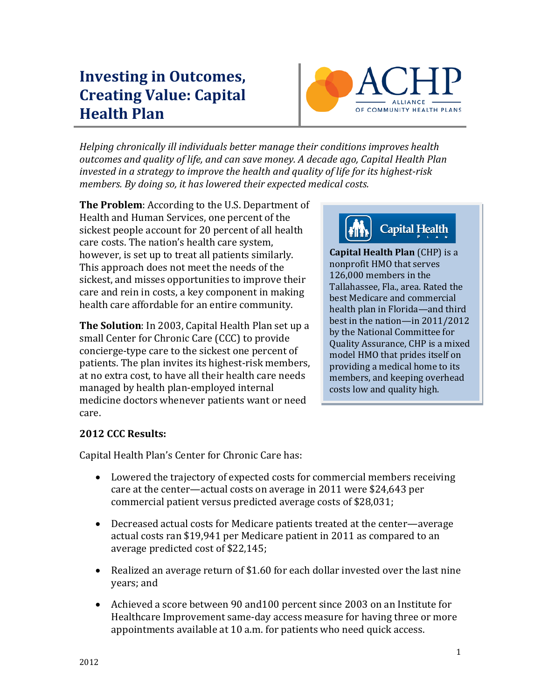# **Investing in Outcomes, Creating Value: Capital Health Plan**



*Helping chronically ill individuals better manage their conditions improves health outcomes and quality of life, and can save money. A decade ago, Capital Health Plan invested in a strategy to improve the health and quality of life for its highest-risk members. By doing so, it has lowered their expected medical costs.* 

**The Problem**: According to the U.S. Department of Health and Human Services, one percent of the sickest people account for 20 percent of all health care costs. The nation's health care system, however, is set up to treat all patients similarly. This approach does not meet the needs of the sickest, and misses opportunities to improve their care and rein in costs, a key component in making health care affordable for an entire community.

**The Solution**: In 2003, Capital Health Plan set up a small Center for Chronic Care (CCC) to provide concierge-type care to the sickest one percent of patients. The plan invites its highest-risk members, at no extra cost, to have all their health care needs managed by health plan-employed internal medicine doctors whenever patients want or need care.



**Capital Health Plan** (CHP) is a nonprofit HMO that serves 126,000 members in the Tallahassee, Fla., area. Rated the best Medicare and commercial health plan in Florida—and third best in the nation—in 2011/2012 by the National Committee for Quality Assurance, CHP is a mixed model HMO that prides itself on providing a medical home to its members, and keeping overhead costs low and quality high.

## **2012 CCC Results:**

Capital Health Plan's Center for Chronic Care has:

- Lowered the trajectory of expected costs for commercial members receiving care at the center—actual costs on average in 2011 were \$24,643 per commercial patient versus predicted average costs of \$28,031;
- Decreased actual costs for Medicare patients treated at the center—average actual costs ran \$19,941 per Medicare patient in 2011 as compared to an average predicted cost of \$22,145;
- Realized an average return of \$1.60 for each dollar invested over the last nine years; and
- Achieved a score between 90 and100 percent since 2003 on an Institute for Healthcare Improvement same-day access measure for having three or more appointments available at 10 a.m. for patients who need quick access.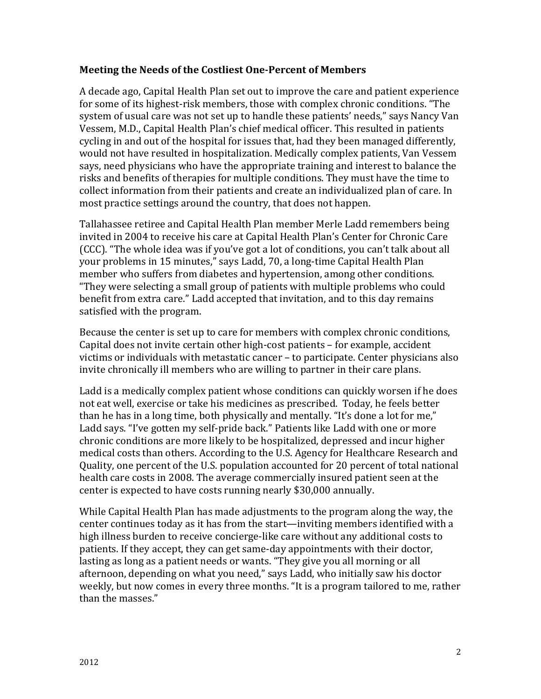#### **Meeting the Needs of the Costliest One-Percent of Members**

A decade ago, Capital Health Plan set out to improve the care and patient experience for some of its highest-risk members, those with complex chronic conditions. "The system of usual care was not set up to handle these patients' needs," says Nancy Van Vessem, M.D., Capital Health Plan's chief medical officer. This resulted in patients cycling in and out of the hospital for issues that, had they been managed differently, would not have resulted in hospitalization. Medically complex patients, Van Vessem says, need physicians who have the appropriate training and interest to balance the risks and benefits of therapies for multiple conditions. They must have the time to collect information from their patients and create an individualized plan of care. In most practice settings around the country, that does not happen.

Tallahassee retiree and Capital Health Plan member Merle Ladd remembers being invited in 2004 to receive his care at Capital Health Plan's Center for Chronic Care (CCC). "The whole idea was if you've got a lot of conditions, you can't talk about all your problems in 15 minutes," says Ladd, 70, a long-time Capital Health Plan member who suffers from diabetes and hypertension, among other conditions. "They were selecting a small group of patients with multiple problems who could benefit from extra care." Ladd accepted that invitation, and to this day remains satisfied with the program.

Because the center is set up to care for members with complex chronic conditions, Capital does not invite certain other high-cost patients – for example, accident victims or individuals with metastatic cancer – to participate. Center physicians also invite chronically ill members who are willing to partner in their care plans.

Ladd is a medically complex patient whose conditions can quickly worsen if he does not eat well, exercise or take his medicines as prescribed. Today, he feels better than he has in a long time, both physically and mentally. "It's done a lot for me," Ladd says. "I've gotten my self-pride back." Patients like Ladd with one or more chronic conditions are more likely to be hospitalized, depressed and incur higher medical costs than others. According to the U.S. Agency for Healthcare Research and Quality, one percent of the U.S. population accounted for 20 percent of total national health care costs in 2008. The average commercially insured patient seen at the center is expected to have costs running nearly \$30,000 annually.

While Capital Health Plan has made adjustments to the program along the way, the center continues today as it has from the start—inviting members identified with a high illness burden to receive concierge-like care without any additional costs to patients. If they accept, they can get same-day appointments with their doctor, lasting as long as a patient needs or wants. "They give you all morning or all afternoon, depending on what you need," says Ladd, who initially saw his doctor weekly, but now comes in every three months. "It is a program tailored to me, rather than the masses."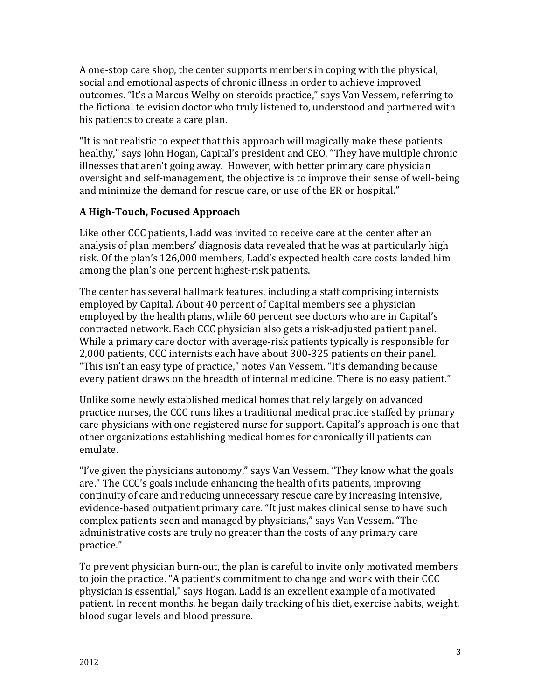A one-stop care shop, the center supports members in coping with the physical, social and emotional aspects of chronic illness in order to achieve improved outcomes. "It's a Marcus Welby on steroids practice," says Van Vessem, referring to the fictional television doctor who truly listened to, understood and partnered with his patients to create a care plan.

"It is not realistic to expect that this approach will magically make these patients healthy," says John Hogan, Capital's president and CEO. "They have multiple chronic illnesses that aren't going away. However, with better primary care physician oversight and self-management, the objective is to improve their sense of well-being and minimize the demand for rescue care, or use of the ER or hospital."

### **A High-Touch, Focused Approach**

Like other CCC patients, Ladd was invited to receive care at the center after an analysis of plan members' diagnosis data revealed that he was at particularly high risk. Of the plan's 126,000 members, Ladd's expected health care costs landed him among the plan's one percent highest-risk patients.

The center has several hallmark features, including a staff comprising internists employed by Capital. About 40 percent of Capital members see a physician employed by the health plans, while 60 percent see doctors who are in Capital's contracted network. Each CCC physician also gets a risk-adjusted patient panel. While a primary care doctor with average-risk patients typically is responsible for 2,000 patients, CCC internists each have about 300-325 patients on their panel. "This isn't an easy type of practice," notes Van Vessem. "It's demanding because every patient draws on the breadth of internal medicine. There is no easy patient."

Unlike some newly established medical homes that rely largely on advanced practice nurses, the CCC runs likes a traditional medical practice staffed by primary care physicians with one registered nurse for support. Capital's approach is one that other organizations establishing medical homes for chronically ill patients can emulate.

"I've given the physicians autonomy," says Van Vessem. "They know what the goals are." The CCC's goals include enhancing the health of its patients, improving continuity of care and reducing unnecessary rescue care by increasing intensive, evidence-based outpatient primary care. "It just makes clinical sense to have such complex patients seen and managed by physicians," says Van Vessem. "The administrative costs are truly no greater than the costs of any primary care practice."

To prevent physician burn-out, the plan is careful to invite only motivated members to join the practice. "A patient's commitment to change and work with their CCC physician is essential," says Hogan. Ladd is an excellent example of a motivated patient. In recent months, he began daily tracking of his diet, exercise habits, weight, blood sugar levels and blood pressure.